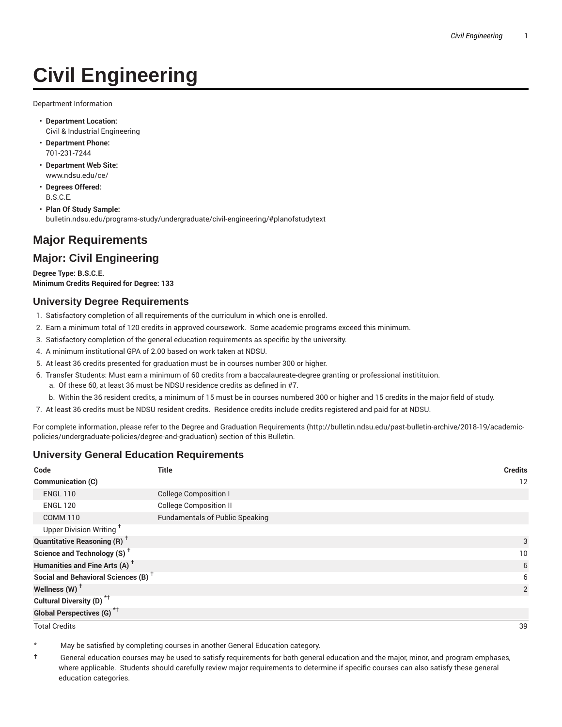# **Civil Engineering**

Department Information

- **Department Location:** Civil & Industrial Engineering
- **Department Phone:** 701-231-7244
- **Department Web Site:** www.ndsu.edu/ce/
- **Degrees Offered:** B.S.C.E.
- **Plan Of Study Sample:** bulletin.ndsu.edu/programs-study/undergraduate/civil-engineering/#planofstudytext

## **Major Requirements**

### **Major: Civil Engineering**

**Degree Type: B.S.C.E. Minimum Credits Required for Degree: 133**

#### **University Degree Requirements**

- 1. Satisfactory completion of all requirements of the curriculum in which one is enrolled.
- 2. Earn a minimum total of 120 credits in approved coursework. Some academic programs exceed this minimum.
- 3. Satisfactory completion of the general education requirements as specific by the university.
- 4. A minimum institutional GPA of 2.00 based on work taken at NDSU.
- 5. At least 36 credits presented for graduation must be in courses number 300 or higher.
- 6. Transfer Students: Must earn a minimum of 60 credits from a baccalaureate-degree granting or professional institituion.
	- a. Of these 60, at least 36 must be NDSU residence credits as defined in #7.
	- b. Within the 36 resident credits, a minimum of 15 must be in courses numbered 300 or higher and 15 credits in the major field of study.
- 7. At least 36 credits must be NDSU resident credits. Residence credits include credits registered and paid for at NDSU.

For complete information, please refer to the Degree and Graduation Requirements (http://bulletin.ndsu.edu/past-bulletin-archive/2018-19/academicpolicies/undergraduate-policies/degree-and-graduation) section of this Bulletin.

#### **University General Education Requirements**

| Code                                            | <b>Title</b>                           | <b>Credits</b> |
|-------------------------------------------------|----------------------------------------|----------------|
| Communication (C)                               |                                        | 12             |
| <b>ENGL 110</b>                                 | <b>College Composition I</b>           |                |
| <b>ENGL 120</b>                                 | <b>College Composition II</b>          |                |
| <b>COMM 110</b>                                 | <b>Fundamentals of Public Speaking</b> |                |
| Upper Division Writing <sup>+</sup>             |                                        |                |
| <b>Quantitative Reasoning (R)</b> <sup>†</sup>  |                                        | 3              |
| Science and Technology (S) <sup>+</sup>         |                                        | 10             |
| Humanities and Fine Arts (A) <sup>+</sup>       |                                        | 6              |
| Social and Behavioral Sciences (B) <sup>+</sup> |                                        | 6              |
| Wellness $(W)$ <sup>+</sup>                     |                                        | 2              |
| Cultural Diversity (D) <sup>*†</sup>            |                                        |                |
| <b>Global Perspectives (G)<sup>*†</sup></b>     |                                        |                |

Total Credits 39

May be satisfied by completing courses in another General Education category.

† General education courses may be used to satisfy requirements for both general education and the major, minor, and program emphases, where applicable. Students should carefully review major requirements to determine if specific courses can also satisfy these general education categories.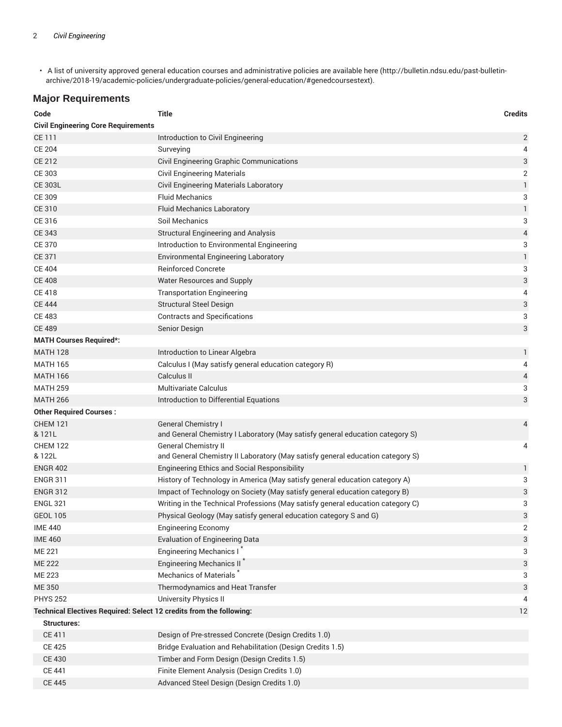• A list of university approved general education courses and administrative policies are available here (http://bulletin.ndsu.edu/past-bulletinarchive/2018-19/academic-policies/undergraduate-policies/general-education/#genedcoursestext).

## **Major Requirements**

| Code                                                                | <b>Title</b>                                                                    | <b>Credits</b> |
|---------------------------------------------------------------------|---------------------------------------------------------------------------------|----------------|
| <b>Civil Engineering Core Requirements</b>                          |                                                                                 |                |
| CE 111                                                              | Introduction to Civil Engineering                                               | $\overline{c}$ |
| <b>CE 204</b>                                                       | Surveying                                                                       | 4              |
| CE 212                                                              | Civil Engineering Graphic Communications                                        | 3              |
| CE 303                                                              | <b>Civil Engineering Materials</b>                                              | 2              |
| <b>CE 303L</b>                                                      | <b>Civil Engineering Materials Laboratory</b>                                   | $\mathbf{1}$   |
| CE 309                                                              | <b>Fluid Mechanics</b>                                                          | 3              |
| <b>CE 310</b>                                                       | <b>Fluid Mechanics Laboratory</b>                                               | $\mathbf{1}$   |
| CE 316                                                              | Soil Mechanics                                                                  | 3              |
| <b>CE 343</b>                                                       | <b>Structural Engineering and Analysis</b>                                      | 4              |
| <b>CE 370</b>                                                       | Introduction to Environmental Engineering                                       | 3              |
| <b>CE 371</b>                                                       | <b>Environmental Engineering Laboratory</b>                                     | $\mathbbm{1}$  |
| <b>CE 404</b>                                                       | <b>Reinforced Concrete</b>                                                      | 3              |
| <b>CE 408</b>                                                       | <b>Water Resources and Supply</b>                                               | 3              |
| <b>CE 418</b>                                                       | <b>Transportation Engineering</b>                                               | 4              |
| <b>CE 444</b>                                                       | <b>Structural Steel Design</b>                                                  | 3              |
| <b>CE 483</b>                                                       | <b>Contracts and Specifications</b>                                             | 3              |
| <b>CE 489</b>                                                       | Senior Design                                                                   | 3              |
| <b>MATH Courses Required*:</b>                                      |                                                                                 |                |
| <b>MATH 128</b>                                                     | Introduction to Linear Algebra                                                  | 1              |
| <b>MATH 165</b>                                                     | Calculus I (May satisfy general education category R)                           | 4              |
| <b>MATH 166</b>                                                     | Calculus II                                                                     | 4              |
| <b>MATH 259</b>                                                     | <b>Multivariate Calculus</b>                                                    | 3              |
| <b>MATH 266</b>                                                     | Introduction to Differential Equations                                          | 3              |
| <b>Other Required Courses:</b>                                      |                                                                                 |                |
| <b>CHEM 121</b>                                                     | General Chemistry I                                                             | 4              |
| & 121L                                                              | and General Chemistry I Laboratory (May satisfy general education category S)   |                |
| <b>CHEM 122</b>                                                     | <b>General Chemistry II</b>                                                     | 4              |
| & 122L                                                              | and General Chemistry II Laboratory (May satisfy general education category S)  |                |
| <b>ENGR 402</b>                                                     | <b>Engineering Ethics and Social Responsibility</b>                             | 1              |
| <b>ENGR 311</b>                                                     | History of Technology in America (May satisfy general education category A)     | 3              |
| <b>ENGR 312</b>                                                     | Impact of Technology on Society (May satisfy general education category B)      | 3              |
| <b>ENGL 321</b>                                                     | Writing in the Technical Professions (May satisfy general education category C) | 3              |
| <b>GEOL 105</b>                                                     | Physical Geology (May satisfy general education category S and G)               | 3              |
| <b>IME 440</b>                                                      | <b>Engineering Economy</b>                                                      | 2              |
| <b>IME 460</b>                                                      | <b>Evaluation of Engineering Data</b>                                           | 3              |
| <b>ME 221</b>                                                       | Engineering Mechanics I*                                                        | 3              |
| <b>ME 222</b>                                                       | <b>Engineering Mechanics II</b>                                                 | 3              |
| ME 223                                                              | Mechanics of Materials <sup>7</sup>                                             | 3              |
| <b>ME 350</b>                                                       | Thermodynamics and Heat Transfer                                                | 3              |
| <b>PHYS 252</b>                                                     | University Physics II                                                           | 4              |
| Technical Electives Required: Select 12 credits from the following: |                                                                                 | 12             |
| <b>Structures:</b>                                                  |                                                                                 |                |
| <b>CE 411</b>                                                       | Design of Pre-stressed Concrete (Design Credits 1.0)                            |                |
| <b>CE 425</b>                                                       | Bridge Evaluation and Rehabilitation (Design Credits 1.5)                       |                |
| <b>CE 430</b>                                                       | Timber and Form Design (Design Credits 1.5)                                     |                |
| <b>CE 441</b>                                                       | Finite Element Analysis (Design Credits 1.0)                                    |                |
| <b>CE 445</b>                                                       | Advanced Steel Design (Design Credits 1.0)                                      |                |